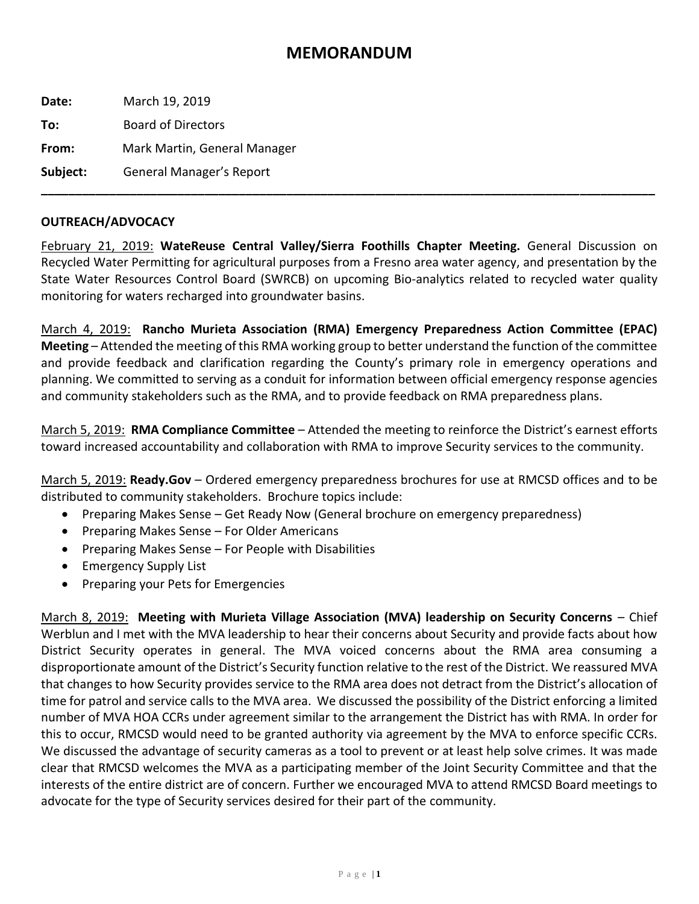## **MEMORANDUM**

**Date:** March 19, 2019 **To:** Board of Directors **From:** Mark Martin, General Manager **Subject:** General Manager's Report **\_\_\_\_\_\_\_\_\_\_\_\_\_\_\_\_\_\_\_\_\_\_\_\_\_\_\_\_\_\_\_\_\_\_\_\_\_\_\_\_\_\_\_\_\_\_\_\_\_\_\_\_\_\_\_\_\_\_\_\_\_\_\_\_\_\_\_\_\_\_\_\_\_\_\_\_\_\_\_\_\_\_\_\_\_\_\_\_\_\_**

## **OUTREACH/ADVOCACY**

February 21, 2019: **WateReuse Central Valley/Sierra Foothills Chapter Meeting.** General Discussion on Recycled Water Permitting for agricultural purposes from a Fresno area water agency, and presentation by the State Water Resources Control Board (SWRCB) on upcoming Bio-analytics related to recycled water quality monitoring for waters recharged into groundwater basins.

March 4, 2019: **Rancho Murieta Association (RMA) Emergency Preparedness Action Committee (EPAC) Meeting** – Attended the meeting of this RMA working group to better understand the function of the committee and provide feedback and clarification regarding the County's primary role in emergency operations and planning. We committed to serving as a conduit for information between official emergency response agencies and community stakeholders such as the RMA, and to provide feedback on RMA preparedness plans.

March 5, 2019: **RMA Compliance Committee** – Attended the meeting to reinforce the District's earnest efforts toward increased accountability and collaboration with RMA to improve Security services to the community.

March 5, 2019: **Ready.Gov** – Ordered emergency preparedness brochures for use at RMCSD offices and to be distributed to community stakeholders. Brochure topics include:

- Preparing Makes Sense Get Ready Now (General brochure on emergency preparedness)
- Preparing Makes Sense For Older Americans
- Preparing Makes Sense For People with Disabilities
- Emergency Supply List
- Preparing your Pets for Emergencies

March 8, 2019: **Meeting with Murieta Village Association (MVA) leadership on Security Concerns** – Chief Werblun and I met with the MVA leadership to hear their concerns about Security and provide facts about how District Security operates in general. The MVA voiced concerns about the RMA area consuming a disproportionate amount of the District's Security function relative to the rest of the District. We reassured MVA that changes to how Security provides service to the RMA area does not detract from the District's allocation of time for patrol and service calls to the MVA area. We discussed the possibility of the District enforcing a limited number of MVA HOA CCRs under agreement similar to the arrangement the District has with RMA. In order for this to occur, RMCSD would need to be granted authority via agreement by the MVA to enforce specific CCRs. We discussed the advantage of security cameras as a tool to prevent or at least help solve crimes. It was made clear that RMCSD welcomes the MVA as a participating member of the Joint Security Committee and that the interests of the entire district are of concern. Further we encouraged MVA to attend RMCSD Board meetings to advocate for the type of Security services desired for their part of the community.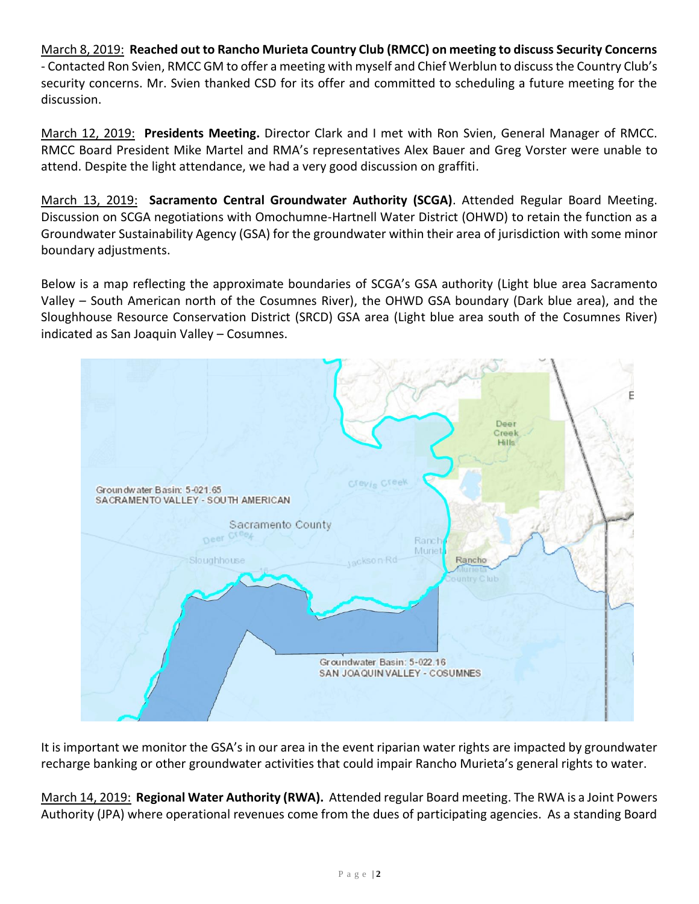March 8, 2019: **Reached out to Rancho Murieta Country Club (RMCC) on meeting to discuss Security Concerns** - Contacted Ron Svien, RMCC GM to offer a meeting with myself and Chief Werblun to discuss the Country Club's security concerns. Mr. Svien thanked CSD for its offer and committed to scheduling a future meeting for the discussion.

March 12, 2019: **Presidents Meeting.** Director Clark and I met with Ron Svien, General Manager of RMCC. RMCC Board President Mike Martel and RMA's representatives Alex Bauer and Greg Vorster were unable to attend. Despite the light attendance, we had a very good discussion on graffiti.

March 13, 2019: **Sacramento Central Groundwater Authority (SCGA)**. Attended Regular Board Meeting. Discussion on SCGA negotiations with Omochumne-Hartnell Water District (OHWD) to retain the function as a Groundwater Sustainability Agency (GSA) for the groundwater within their area of jurisdiction with some minor boundary adjustments.

Below is a map reflecting the approximate boundaries of SCGA's GSA authority (Light blue area Sacramento Valley – South American north of the Cosumnes River), the OHWD GSA boundary (Dark blue area), and the Sloughhouse Resource Conservation District (SRCD) GSA area (Light blue area south of the Cosumnes River) indicated as San Joaquin Valley – Cosumnes.



It is important we monitor the GSA's in our area in the event riparian water rights are impacted by groundwater recharge banking or other groundwater activities that could impair Rancho Murieta's general rights to water.

March 14, 2019: **Regional Water Authority (RWA).** Attended regular Board meeting. The RWA is a Joint Powers Authority (JPA) where operational revenues come from the dues of participating agencies. As a standing Board